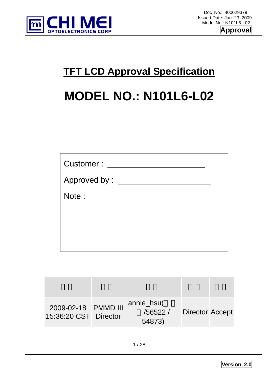

## **TFT LCD Approval Specification**

# **MODEL NO.: N101L6-L02**

| Customer:      |  |
|----------------|--|
| Approved by: _ |  |
| Note:          |  |
|                |  |
|                |  |
|                |  |

| 2009-02-18 PMMD III<br>15:36:20 CST Director | annie_hsu(<br>/56522 /<br>54873) | <b>Director Accept</b> |  |
|----------------------------------------------|----------------------------------|------------------------|--|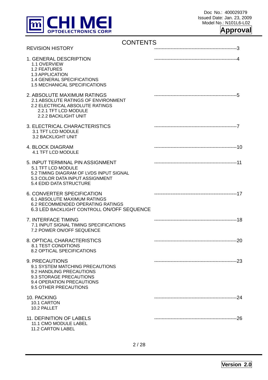

### **Approval**

| <b>CONTENTS</b>                                                                                                                                                 |  |
|-----------------------------------------------------------------------------------------------------------------------------------------------------------------|--|
| <b>REVISION HISTORY</b>                                                                                                                                         |  |
| 1. GENERAL DESCRIPTION<br>1.1 OVERVIEW<br><b>1.2 FEATURES</b><br>1.3 APPLICATION<br>1.4 GENERAL SPECIFICATIONS<br><b>1.5 MECHANICAL SPECIFICATIONS</b>          |  |
| 2. ABSOLUTE MAXIMUM RATINGS<br>2.1 ABSOLUTE RATINGS OF ENVIRONMENT<br>2.2 ELECTRICAL ABSOLUTE RATINGS<br>2.2.1 TFT LCD MODULE<br>2.2.2 BACKLIGHT UNIT           |  |
| 3. ELECTRICAL CHARACTERISTICS<br>3.1 TFT LCD MODULE<br>3.2 BACKLIGHT UNIT                                                                                       |  |
| <b>4. BLOCK DIAGRAM</b><br>4.1 TFT LCD MODULE                                                                                                                   |  |
| 5. INPUT TERMINAL PIN ASSIGNMENT<br>5.1 TFT LCD MODULE<br>5.2 TIMING DIAGRAM OF LVDS INPUT SIGNAL<br>5.3 COLOR DATA INPUT ASSIGNMENT<br>5.4 EDID DATA STRUCTURE |  |
| 6. CONVERTER SPECIFICATION<br><b>6.1 ABSOLUTE MAXIMUM RATINGS</b><br>6.2 RECOMMENDED OPERATING RATINGS<br>6.3 LED BACKLIGHT CONTROLL ON/OFF SEQUENCE            |  |
| 7. INTERFACE TIMING<br>7.1 INPUT SIGNAL TIMING SPECIFICATIONS<br>7.2 POWER ON/OFF SEQUENCE                                                                      |  |
| 8. OPTICAL CHARACTERISTICS<br><b>8.1 TEST CONDITIONS</b><br><b>8.2 OPTICAL SPECIFICATIONS</b>                                                                   |  |
| 9. PRECAUTIONS<br>9.1 SYSTEM MATCHING PRECAUTIONS<br>9.2 HANDLING PRECAUTIONS<br>9.3 STORAGE PRECAUTIONS<br>9.4 OPERATION PRECAUTIONS<br>9.5 OTHER PRECAUTIONS  |  |
| 10. PACKING<br>10.1 CARTON<br>10.2 PALLET                                                                                                                       |  |
| 11. DEFINITION OF LABELS<br>11.1 CMO MODULE LABEL<br>11.2 CARTON LABEL                                                                                          |  |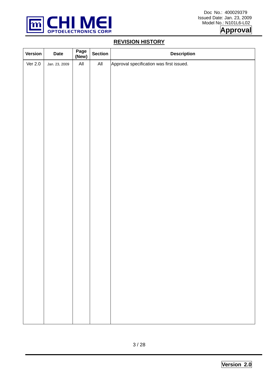

### **REVISION HISTORY**

| Version | <b>Date</b>   | Page<br>(New)  | <b>Section</b> | <b>Description</b>                       |
|---------|---------------|----------------|----------------|------------------------------------------|
| Ver 2.0 | Jan. 23, 2009 | $\mathsf{All}$ | $\mathsf{All}$ | Approval specification was first issued. |
|         |               |                |                |                                          |
|         |               |                |                |                                          |
|         |               |                |                |                                          |
|         |               |                |                |                                          |
|         |               |                |                |                                          |
|         |               |                |                |                                          |
|         |               |                |                |                                          |
|         |               |                |                |                                          |
|         |               |                |                |                                          |
|         |               |                |                |                                          |
|         |               |                |                |                                          |
|         |               |                |                |                                          |
|         |               |                |                |                                          |
|         |               |                |                |                                          |
|         |               |                |                |                                          |
|         |               |                |                |                                          |
|         |               |                |                |                                          |
|         |               |                |                |                                          |
|         |               |                |                |                                          |
|         |               |                |                |                                          |
|         |               |                |                |                                          |
|         |               |                |                |                                          |
|         |               |                |                |                                          |
|         |               |                |                |                                          |
|         |               |                |                |                                          |
|         |               |                |                |                                          |
|         |               |                |                |                                          |
|         |               |                |                |                                          |
|         |               |                |                |                                          |
|         |               |                |                |                                          |
|         |               |                |                |                                          |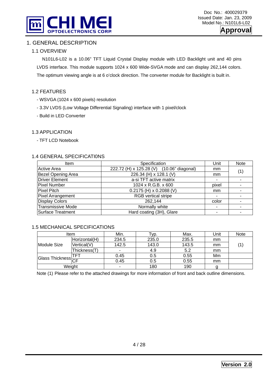

### 1. GENERAL DESCRIPTION

### 1.1 OVERVIEW

 N101L6-L02 is a 10.06" TFT Liquid Crystal Display module with LED Backlight unit and 40 pins LVDS interface. This module supports 1024 x 600 Wide-SVGA mode and can display 262,144 colors. The optimum viewing angle is at 6 o'clock direction. The converter module for Backlight is built in.

### 1.2 FEATURES

- WSVGA (1024 x 600 pixels) resolution
- 3.3V LVDS (Low Voltage Differential Signaling) interface with 1 pixel/clock
- Build in LED Converter

### 1.3 APPLICATION

- TFT LCD Notebook

### 1.4 GENERAL SPECIFICATI0NS

| Item                      | Specification                             | Unit           | <b>Note</b> |
|---------------------------|-------------------------------------------|----------------|-------------|
| <b>Active Area</b>        | 222.72 (H) x 125.28 (V) (10.06" diagonal) | mm             | (1)         |
| <b>Bezel Opening Area</b> | 226.34 (H) x 128.1 (V)                    | mm             |             |
| Driver Element            | a-si TFT active matrix                    | -              |             |
| <b>Pixel Number</b>       | 1024 x R.G.B. x 600                       | pixel          |             |
| Pixel Pitch               | $0.2175$ (H) x 0.2088 (V)                 | mm             |             |
| Pixel Arrangement         | <b>RGB</b> vertical stripe                | -              |             |
| <b>Display Colors</b>     | 262,144                                   | color          |             |
| <b>Transmissive Mode</b>  | Normally white                            | $\blacksquare$ |             |
| Surface Treatment         | Hard coating (3H), Glare                  |                |             |

### 1.5 MECHANICAL SPECIFICATIONS

|                        | Item          |       | lyp.  | Max.  | Unit | <b>Note</b> |
|------------------------|---------------|-------|-------|-------|------|-------------|
|                        | Horizontal(H) | 234.5 | 235.0 | 235.5 | mm   |             |
| Module Size            | Vertical(V)   | 142.5 | 143.0 | 143.5 | mm   | (1)         |
|                        | Thickness(T)  |       | 4.9   | 5.2   | mm   |             |
|                        |               | 0.45  | 0.5   | 0.55  | Mm   |             |
| <b>Glass Thickness</b> |               | 0.45  | 0.5   | 0.55  | mm   |             |
| Weight                 |               |       | 180   | 190   |      |             |

Note (1) Please refer to the attached drawings for more information of front and back outline dimensions.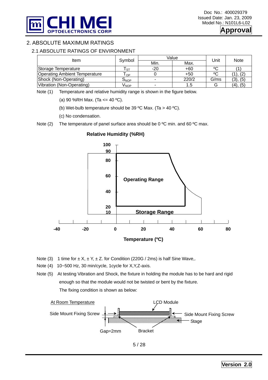

### 2. ABSOLUTE MAXIMUM RATINGS

### 2.1 ABSOLUTE RATINGS OF ENVIRONMENT

| Item                                 | Symbol           | Value | Unit  | Note |          |  |
|--------------------------------------|------------------|-------|-------|------|----------|--|
|                                      |                  | Min.  | Max.  |      |          |  |
| Storage Temperature                  | <b>ST</b>        | $-20$ | $+60$ | °C   |          |  |
| <b>Operating Ambient Temperature</b> | OP               |       | $+50$ | °C   |          |  |
| Shock (Non-Operating)                | O <sub>NOP</sub> | -     | 220/2 | G/ms | (3), (5) |  |
| Vibration (Non-Operating)            | /NOP             |       |       |      | (4), (5) |  |

Note (1) Temperature and relative humidity range is shown in the figure below.

(a) 90 %RH Max. (Ta  $\leq$  = 40 °C).

(b) Wet-bulb temperature should be 39 °C Max. (Ta > 40 °C).

(c) No condensation.

Note  $(2)$  The temperature of panel surface area should be 0 °C min. and 60 °C max.



#### **Relative Humidity (%RH)**

Note (3) 1 time for  $\pm X$ ,  $\pm Y$ ,  $\pm Z$ . for Condition (220G / 2ms) is half Sine Wave,.

Note (4) 10~500 Hz, 30 min/cycle, 1cycle for X,Y,Z-axis.

Note (5) At testing Vibration and Shock, the fixture in holding the module has to be hard and rigid enough so that the module would not be twisted or bent by the fixture. The fixing condition is shown as below:



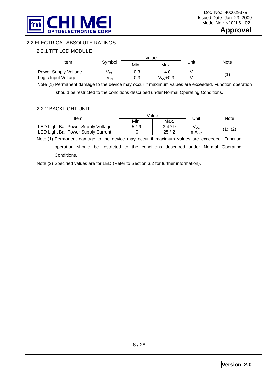

### 2.2 ELECTRICAL ABSOLUTE RATINGS

#### 2.2.1 TFT LCD MODULE

|                      |        |        | Value             |      |      |  |
|----------------------|--------|--------|-------------------|------|------|--|
| Item                 | Symbol | Min.   | Max.              | Unit | Note |  |
| Power Supply Voltage | v cc   | $-0.3$ | +4.0              |      |      |  |
| Logic Input Voltage  | V IN   | $-0.3$ | $V_{\rm CC}$ +0.3 |      |      |  |

Note (1) Permanent damage to the device may occur if maximum values are exceeded. Function operation

should be restricted to the conditions described under Normal Operating Conditions.

#### 2.2.2 BACKLIGHT UNIT

|                                           |        | Value     |           | Note     |  |
|-------------------------------------------|--------|-----------|-----------|----------|--|
| Item                                      | Min    | Max.      | Unit      |          |  |
| LED Light Bar Power Supply Voltage        | $-5*9$ | $3.4 * 9$ | ∨рс       | (1), (2) |  |
| <b>LED Light Bar Power Supply Current</b> |        | $25 * 2$  | $mA_{DC}$ |          |  |

Note (1) Permanent damage to the device may occur if maximum values are exceeded. Function operation should be restricted to the conditions described under Normal Operating Conditions.

Note (2) Specified values are for LED (Refer to Section 3.2 for further information).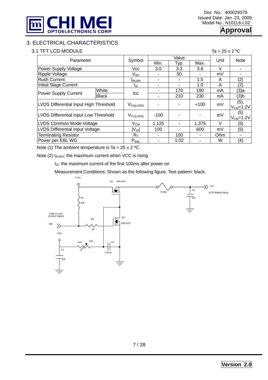

### **Approval**

### 3. ELECTRICAL CHARACTERISTICS

### 3.1 TFT LCD MODULE Ta =  $25 \pm 2$  °C

| Parameter                              |              | Symbol                     |        | Value | Unit   | <b>Note</b> |                         |  |
|----------------------------------------|--------------|----------------------------|--------|-------|--------|-------------|-------------------------|--|
|                                        |              |                            | Min.   | Typ.  | Max.   |             |                         |  |
| Power Supply Voltage                   |              | Vcc                        | 3.0    | 3.3   | 3.6    | $\vee$      |                         |  |
| <b>Ripple Voltage</b>                  |              | $\mathsf{V}_{\mathsf{RP}}$ |        | 50    |        | mV          |                         |  |
| <b>Rush Current</b>                    |              | <b>I</b> RUSH              |        |       | 1.5    | A           | (2)                     |  |
| Initial Stage Current                  |              | l <sub>is</sub>            |        |       | 1.0    | A           | (2)                     |  |
| Power Supply Current                   | White        | Icc                        |        | 170   | 190    | mA          | (3)a                    |  |
|                                        | <b>Black</b> |                            |        | 210   | 230    | mA          | $(3)$ <sub>b</sub>      |  |
| LVDS Differential Input High Threshold |              | V <sub>TH(LVDS)</sub>      |        |       | $+100$ | mV          | (5),<br>$V_{CM} = 1.2V$ |  |
|                                        |              |                            |        |       |        |             |                         |  |
| LVDS Differential Input Low Threshold  |              | $V_{TL(LVDS)}$             | $-100$ |       |        | mV          | (5)<br>$V_{CM} = 1.2V$  |  |
| LVDS Common Mode Voltage               |              | $V_{CM}$                   | 1.125  |       | 1.375  | $\vee$      | (5)                     |  |
| LVDS Differential Input Voltage        |              | $ V_{ID} $                 | 100    |       | 600    | mV          | (5)                     |  |
| <b>Terminating Resistor</b>            |              | $R_T$                      |        | 100   |        | <b>Ohm</b>  |                         |  |
| Power per EBL WG                       |              | $P_{EBL}$                  |        | 1.02  |        | W           | (4)                     |  |

Note (1) The ambient temperature is Ta =  $25 \pm 2$  °C.

Note (2)  $I<sub>RUSH</sub>$ : the maximum current when VCC is rising

I<sub>IS</sub>: the maximum current of the first 100ms after power-on

Measurement Conditions: Shown as the following figure. Test pattern: black.

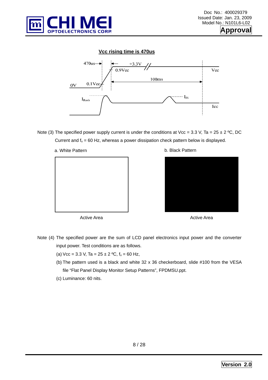





Note (3) The specified power supply current is under the conditions at Vcc = 3.3 V, Ta =  $25 \pm 2$  °C, DC Current and  $f_v = 60$  Hz, whereas a power dissipation check pattern below is displayed.



b. Black Pattern



Active Area

Active Area

- Note (4) The specified power are the sum of LCD panel electronics input power and the converter input power. Test conditions are as follows.
	- (a) Vcc = 3.3 V, Ta =  $25 \pm 2$  °C,  $f_v$  = 60 Hz,
	- (b) The pattern used is a black and white 32 x 36 checkerboard, slide #100 from the VESA file "Flat Panel Display Monitor Setup Patterns", FPDMSU.ppt.
	- (c) Luminance: 60 nits.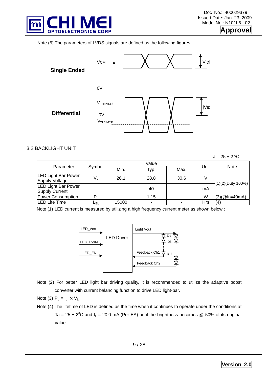

**pproval** 

Note (5) The parameters of LVDS signals are defined as the following figures.



#### 3.2 BACKLIGHT UNIT

 $Ta = 25 + 2 °C$ 

|                                              |        |       | Value |       |      |                      |
|----------------------------------------------|--------|-------|-------|-------|------|----------------------|
| Parameter                                    | Symbol | Min.  | Typ.  | Max.  | Unit | <b>Note</b>          |
| <b>LED Light Bar Power</b><br>Supply Voltage | VL     | 26.1  | 28.8  | 30.6  |      | $(1)(2)$ (Duty 100%) |
| <b>LED Light Bar Power</b><br>Supply Current | ΙL     | $- -$ | 40    | $- -$ | mA   |                      |
| Power Consumption                            | $P_1$  | $- -$ | 1.15  | $- -$ | W    | $(3)(@L=40mA)$       |
| LED Life Time                                | ∟в∟    | 15000 |       |       | Hrs  | (4)                  |

Note (1) LED current is measured by utilizing a high frequency current meter as shown below :



- Note (2) For better LED light bar driving quality, it is recommended to utilize the adaptive boost converter with current balancing function to drive LED light-bar.
- Note (3)  $P_L = I_L \times V_L$
- Note (4) The lifetime of LED is defined as the time when it continues to operate under the conditions at Ta =  $25 \pm 2^{\circ}$ C and  $I_L$  = 20.0 mA (Per EA) until the brightness becomes 50% of its original value.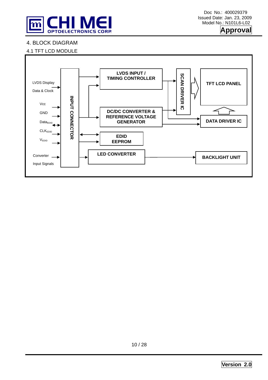



### 4. BLOCK DIAGRAM



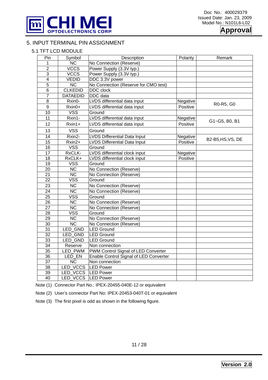



### 5. INPUT TERMINAL PIN ASSIGNMENT

### 5.1 TFT LCD MODULE

| Pin              | Symbol                 | Description                            | Polarity | Remark            |
|------------------|------------------------|----------------------------------------|----------|-------------------|
| 1                | $\overline{\text{NC}}$ | No Connection (Reserve)                |          |                   |
| $\overline{2}$   | <b>VCCS</b>            | Power Supply (3.3V typ.)               |          |                   |
| $\overline{3}$   | <b>VCCS</b>            | Power Supply (3.3V typ.)               |          |                   |
| $\overline{4}$   | <b>VEDID</b>           | DDC 3.3V power                         |          |                   |
| $\overline{5}$   | $\overline{\text{NC}}$ | No Connection (Reserve for CMO test)   |          |                   |
| $6\phantom{1}6$  | <b>CLKEDID</b>         | DDC clock                              |          |                   |
| $\overline{7}$   | <b>DATAEDID</b>        | <b>DDC</b> data                        |          |                   |
| $\overline{8}$   | Rxin0-                 | LVDS differential data input           | Negative |                   |
| $\boldsymbol{9}$ | Rxin0+                 | LVDS differential data input           | Positive | R0-R5, G0         |
| 10               | <b>VSS</b>             | Ground                                 |          |                   |
| 11               | Rxin1-                 | LVDS differential data input           | Negative |                   |
| 12               | Rxin1+                 | LVDS differential data input           | Positive | G1~G5, B0, B1     |
| 13               | <b>VSS</b>             | Ground                                 |          |                   |
| $\overline{14}$  | Rxin2-                 | <b>LVDS Differential Data Input</b>    | Negative |                   |
| 15               | Rxin2+                 | <b>LVDS Differential Data Input</b>    | Positive | B2-B5, HS, VS, DE |
| 16               | <b>VSS</b>             | Ground                                 |          |                   |
| $\overline{17}$  | RxCLK-                 | LVDS differential clock input          | Negative |                   |
| $\overline{18}$  | RxCLK+                 | LVDS differential clock input          | Positive |                   |
| 19               | <b>VSS</b>             | Ground                                 |          |                   |
| 20               | <b>NC</b>              | No Connection (Reserve)                |          |                   |
| $\overline{21}$  | $\overline{\text{NC}}$ | No Connection (Reserve)                |          |                   |
| $\overline{22}$  | <b>VSS</b>             | Ground                                 |          |                   |
| 23               | <b>NC</b>              | No Connection (Reserve)                |          |                   |
| 24               | $\overline{\text{NC}}$ | No Connection (Reserve)                |          |                   |
| $\overline{25}$  | <b>VSS</b>             | Ground                                 |          |                   |
| $\overline{26}$  | $\overline{\text{NC}}$ | No Connection (Reserve)                |          |                   |
| $\overline{27}$  | $\overline{\text{NC}}$ | No Connection (Reserve)                |          |                   |
| $\overline{28}$  | <b>VSS</b>             | Ground                                 |          |                   |
| $\overline{29}$  | $\overline{\text{NC}}$ | No Connection (Reserve)                |          |                   |
| $\overline{30}$  | $\overline{\text{NC}}$ | No Connection (Reserve)                |          |                   |
| $\overline{31}$  | <b>LED GND</b>         | <b>LED Ground</b>                      |          |                   |
| $\overline{32}$  | LED_GND                | <b>LED Ground</b>                      |          |                   |
| $\overline{33}$  | <b>LED GND</b>         | <b>LED Ground</b>                      |          |                   |
| 34               | Reserve                | Non connection                         |          |                   |
| $\overline{35}$  | LED_PWM                | PWM Control Signal of LED Converter    |          |                   |
| 36               | LED EN                 | Enable Control Signal of LED Converter |          |                   |
| $\overline{37}$  | $\overline{\text{NC}}$ | Non connection                         |          |                   |
| 38               | LED VCCS               | <b>LED Power</b>                       |          |                   |
| 39               | LED_VCCS LED Power     |                                        |          |                   |
| $\overline{40}$  | LED VCCS               | <b>LED Power</b>                       |          |                   |

Note (1) Connector Part No.: IPEX-20455-040E-12 or equivalent

Note (2) User's connector Part No: IPEX-20453-040T-01 or equivalent

Note (3) The first pixel is odd as shown in the following figure.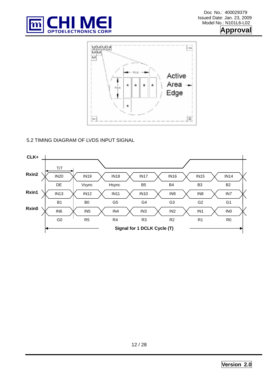



### 5.2 TIMING DIAGRAM OF LVDS INPUT SIGNAL

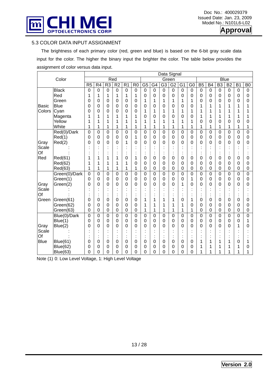



### 5.3 COLOR DATA INPUT ASSIGNMENT

 The brightness of each primary color (red, green and blue) is based on the 6-bit gray scale data input for the color. The higher the binary input the brighter the color. The table below provides the assignment of color versus data input.

|              | Data Signal     |                 |                 |                  |                |                 |                |                 |                 |                 |                 |                |                |                  |                      |                 |                 |                 |                |
|--------------|-----------------|-----------------|-----------------|------------------|----------------|-----------------|----------------|-----------------|-----------------|-----------------|-----------------|----------------|----------------|------------------|----------------------|-----------------|-----------------|-----------------|----------------|
| Color        |                 |                 |                 |                  | Red            |                 |                |                 |                 |                 | Green           |                |                |                  | <b>Blue</b>          |                 |                 |                 |                |
|              |                 | $\overline{R5}$ | $\overline{R4}$ | R <sub>3</sub>   | R <sub>2</sub> | $\overline{R1}$ | $\overline{R}$ | $\overline{G5}$ | $\overline{G4}$ | $\overline{G3}$ | $\overline{G2}$ | G <sub>1</sub> | $\overline{G}$ | $\overline{B5}$  | $\overline{B4}$      | $\overline{B3}$ | $\overline{B2}$ | $\overline{B1}$ | $\overline{B}$ |
|              | <b>Black</b>    | $\mathbf 0$     | $\mathbf 0$     | $\boldsymbol{0}$ | $\mathbf 0$    | $\mathbf 0$     | $\mathbf 0$    | $\mathbf 0$     | $\mathbf 0$     | 0               | $\mathbf 0$     | $\mathbf 0$    | $\mathbf 0$    | $\boldsymbol{0}$ | $\boldsymbol{0}$     | $\pmb{0}$       | $\mathbf 0$     | $\mathbf 0$     | $\mathbf 0$    |
|              | Red             | 1               | 1               | 1                | 1              | 1               | 1              | $\overline{0}$  | 0               | 0               | $\mathbf 0$     | 0              | 0              | $\mathbf 0$      | 0                    | $\mathbf 0$     | $\mathbf 0$     | $\mathbf 0$     | 0              |
|              | Green           | 0               | 0               | 0                | 0              | 0               | $\mathbf 0$    | 1               | 1               | 1               | 1               | 1              | 1              | 0                | 0                    | $\mathbf 0$     | 0               | 0               | 0              |
| <b>Basic</b> | <b>Blue</b>     | 0               | 0               | 0                | $\overline{0}$ | 0               | $\overline{0}$ | 0               | 0               | 0               | 0               | 0              | 0              | 1                | 1                    | 1               | 1               | 1               | 1              |
| Colors       | Cyan            | 0               | 0               | 0                | $\overline{0}$ | 0               | 0              | 1               | 1               | 1               | 1               | 1              | 1              | 1                | 1                    | 1               | 1               | 1               |                |
|              | Magenta         | 1               | 1               | 1                | 1              | 1               | 1              | 0               | 0               | 0               | $\overline{0}$  | 0              | 0              | 1                | 1                    | 1               | 1               | 1               |                |
|              | Yellow          | 1               |                 | 1                | 1              | 1               | 1              | 1               | 1               | 1               | 1               | 1              | 1              | 0                | 0                    | 0               | 0               | 0               | 0              |
|              | White           | 1               | 1               | 1                | 1              | 1               | 1              | 1               | 1               | 1               | 1               | 1              | 1              | 1                | 1                    | 1               | 1               | 1               | 1              |
|              | Red(0)/Dark     | 0               | $\mathbf 0$     | $\mathbf 0$      | $\mathbf 0$    | $\mathbf 0$     | $\overline{0}$ | $\overline{0}$  | $\overline{0}$  | $\overline{0}$  | 0               | 0              | $\mathbf 0$    | 0                | $\overline{0}$       | $\mathbf 0$     | $\mathbf 0$     | $\mathbf 0$     | 0              |
|              | Red(1)          | 0               | $\mathbf 0$     | 0                | $\mathbf 0$    | $\mathbf 0$     | 1              | 0               | 0               | 0               | $\mathbf 0$     | 0              | 0              | $\mathbf 0$      | $\mathbf 0$          | $\mathbf 0$     | 0               | $\mathbf 0$     | 0              |
| Gray         | Red(2)          | 0               | 0               | 0                | $\overline{0}$ | 1               | $\mathbf 0$    | 0               | 0               | 0               | 0               | 0              | 0              | 0                | 0                    | $\overline{0}$  | 0               | $\overline{0}$  | 0              |
| Scale        |                 |                 |                 |                  |                |                 |                |                 |                 |                 |                 |                |                |                  |                      |                 |                 |                 |                |
| Of           |                 |                 |                 |                  |                |                 |                |                 |                 | ٠<br>٠          |                 |                |                |                  | $\bullet$<br>k,      |                 |                 |                 |                |
| Red          | Red(61)         | 1               |                 | 1                |                | 0               | 1              | 0               | 0               | 0               | 0               | 0              | 0              | 0                | 0                    | 0               | 0               | 0               | 0              |
|              | Red(62)         | 1               | 1               | 1                | 1              | 1               | 0              | 0               | 0               | 0               | 0               | 0              | 0              | 0                | 0                    | $\overline{0}$  | 0               | $\mathbf 0$     | 0              |
|              | Red(63)         | 1               | 1               | 1                | 1              | 1               | 1              | 0               | $\mathbf 0$     | 0               | $\mathbf 0$     | 0              | 0              | $\boldsymbol{0}$ | 0                    | $\mathbf 0$     | $\mathbf 0$     | $\mathbf 0$     | $\mathbf 0$    |
|              | Green(0)/Dark   | 0               | 0               | 0                | $\mathbf 0$    | 0               | $\overline{0}$ | $\overline{0}$  | $\overline{0}$  | 0               | 0               | 0              | 0              | 0                | $\overline{0}$       | $\mathbf 0$     | 0               | $\mathbf 0$     | 0              |
|              | Green(1)        | 0               | $\mathbf 0$     | 0                | $\overline{0}$ | $\mathbf 0$     | $\overline{0}$ | 0               | 0               | 0               | $\mathbf 0$     | 0              | 1              | 0                | $\mathbf 0$          | $\mathbf 0$     | 0               | $\mathbf 0$     | $\mathbf 0$    |
| Gray         | Green(2)        | 0               | 0               | 0                | $\overline{0}$ | 0               | $\mathbf 0$    | 0               | 0               | 0               | 0               | 1              | 0              | 0                | 0                    | $\overline{0}$  | 0               | $\overline{0}$  | 0              |
| Scale        |                 |                 |                 |                  |                |                 |                |                 |                 |                 |                 |                |                |                  |                      |                 |                 |                 |                |
| Of           |                 |                 |                 |                  |                |                 |                |                 |                 |                 |                 |                |                |                  | $\ddot{\phantom{a}}$ |                 |                 |                 |                |
| Green        | Green(61)       | 0               | 0               | 0                | 0              | 0               | 0              | 1               |                 | 1               |                 | 0              | 1              | 0                | 0                    | 0               | 0               | $\mathbf 0$     | 0              |
|              | Green(62)       | 0               | 0               | 0                | 0              | 0               | 0              | 1               | 1               | 1               |                 | 1              | 0              | 0                | 0                    | 0               | 0               | $\mathbf 0$     | 0              |
|              | Green(63)       | 0               | $\mathbf 0$     | $\mathbf 0$      | $\mathbf 0$    | $\mathbf 0$     | $\mathbf 0$    | 1               | 1               | 1               | 1               | 1              | 1              | 0                | $\overline{0}$       | $\mathbf 0$     | $\mathbf 0$     | $\mathbf 0$     | $\mathbf 0$    |
|              | Blue(0)/Dark    | $\overline{0}$  | $\overline{0}$  | $\mathbf 0$      | $\mathbf 0$    | 0               | $\overline{0}$ | $\overline{0}$  | $\mathbf 0$     | 0               | 0               | 0              | $\mathbf 0$    | 0                | $\overline{0}$       | $\mathbf 0$     | $\mathbf 0$     | $\overline{0}$  | $\overline{0}$ |
|              | Blue(1)         | 0               | $\overline{0}$  | 0                | $\mathbf 0$    | $\mathbf 0$     | $\overline{0}$ | 0               | 0               | 0               | $\mathbf 0$     | 0              | 0              | 0                | $\mathbf 0$          | $\mathbf 0$     | 0               | $\mathbf 0$     | 1              |
| Gray         | Blue(2)         | 0               | 0               | 0                | $\overline{0}$ | 0               | $\mathbf 0$    | 0               | 0               | 0               | 0               | 0              | 0              | 0                | 0                    | $\overline{0}$  | 0               | 1               | 0              |
| Scale        |                 |                 |                 |                  |                |                 |                |                 |                 |                 |                 |                |                |                  |                      |                 |                 |                 |                |
| Of           |                 |                 |                 |                  |                |                 |                |                 |                 | ٠<br>٠          |                 |                |                |                  | ٠<br>$\blacksquare$  |                 |                 |                 |                |
| <b>Blue</b>  | <b>Blue(61)</b> | 0               | 0               | 0                | 0              | 0               | 0              | 0               | 0               | 0               | 0               | 0              | 0              |                  | 1                    |                 | 1               | 0               |                |
|              | <b>Blue(62)</b> | 0               | 0               | 0                | 0              | 0               | 0              | 0               | 0               | 0               | 0               | 0              | 0              |                  | 1                    |                 | 1               | 1               | 0              |
|              | Blue(63)        | 0               | 0               | 0                | 0              | 0               | $\overline{0}$ | 0               | 0               | 0               | 0               | 0              | 0              |                  | 1                    |                 | 1               |                 |                |

Note (1) 0: Low Level Voltage, 1: High Level Voltage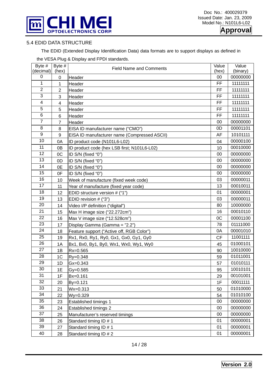

**Approval**

### 5.4 EDID DATA STRUCTURE

The EDID (Extended Display Identification Data) data formats are to support displays as defined in

| Byte #          | Byte #          | <b>Field Name and Comments</b>               | Value | Value    |
|-----------------|-----------------|----------------------------------------------|-------|----------|
| (decimal)       | (hex)           |                                              | (hex) | (binary) |
| 0               | 0               | Header                                       | 00    | 00000000 |
| $\mathbf{1}$    | 1               | Header                                       | FF    | 11111111 |
| $\overline{2}$  | $\overline{2}$  | Header                                       | FF    | 11111111 |
| 3               | 3               | Header                                       | FF    | 11111111 |
| 4               | 4               | Header                                       | FF    | 11111111 |
| 5               | 5               | Header                                       | FF    | 11111111 |
| 6               | $6\phantom{1}6$ | Header                                       | FF    | 11111111 |
| $\overline{7}$  | $\overline{7}$  | Header                                       | 00    | 00000000 |
| 8               | 8               | EISA ID manufacturer name ("CMO")            | 0D    | 00001101 |
| $\mathsf g$     | 9               | EISA ID manufacturer name (Compressed ASCII) | AF    | 10101111 |
| 10              | 0A              | ID product code (N101L6-L02)                 | 04    | 00000100 |
| 11              | 0B              | ID product code (hex LSB first; N101L6-L02)  | 10    | 00010000 |
| 12              | 0C              | ID S/N (fixed "0")                           | 00    | 00000000 |
| 13              | 0D              | ID S/N (fixed "0")                           | 00    | 00000000 |
| 14              | 0E              | ID S/N (fixed "0")                           | 00    | 00000000 |
| 15              | 0F              | ID S/N (fixed "0")                           | 00    | 00000000 |
| 16              | 10              | Week of manufacture (fixed week code)        | 03    | 00000011 |
| $\overline{17}$ | 11              | Year of manufacture (fixed year code)        | 13    | 00010011 |
| 18              | 12              | EDID structure version # ("1")               | 01    | 00000001 |
| 19              | 13              | EDID revision # ("3")                        | 03    | 00000011 |
| 20              | 14              | Video I/P definition ("digital")             | 80    | 10000000 |
| 21              | 15              | Max H image size ("22.272cm")                | 16    | 00010110 |
| 22              | 16              | Max V image size ("12.528cm")                | 0C    | 00001100 |
| 23              | 17              | Display Gamma (Gamma = "2.2")                | 78    | 01111000 |
| 24              | 18              | Feature support ("Active off, RGB Color")    | 0A    | 00001010 |
| 25              | 19              | Rx1, Rx0, Ry1, Ry0, Gx1, Gx0, Gy1, Gy0       | CF    | 11001111 |
| 26              | 1A              | Bx1, Bx0, By1, By0, Wx1, Wx0, Wy1, Wy0       | 45    | 01000101 |
| 27              | 1B              | Rx=0.565                                     | 90    | 10010000 |
| 28              | 1 <sup>C</sup>  | Ry=0.348                                     | 59    | 01011001 |
| 29              | 1D              | $Gx=0.343$                                   | 57    | 01010111 |
| 30              | 1E              | $Gy = 0.585$                                 | 95    | 10010101 |
| 31              | 1F              | Bx=0.161                                     | 29    | 00101001 |
| 32              | 20              | By=0.121                                     | 1F    | 00011111 |
| 33              | 21              | $Wx = 0.313$                                 | 50    | 01010000 |
| 34              | 22              | Wy=0.329                                     | 54    | 01010100 |
| 35              | 23              | Established timings 1                        | 00    | 00000000 |
| 36              | 24              | <b>Established timings 2</b>                 | 00    | 00000000 |
| 37              | 25              | Manufacturer's reserved timings              | 00    | 00000000 |
| 38              | 26              | Standard timing ID # 1                       | 01    | 00000001 |
| 39              | 27              | Standard timing ID # 1                       | 01    | 00000001 |
| 40              | 28              | Standard timing ID # 2                       | 01    | 00000001 |

the VESA Plug & Display and FPDI standards.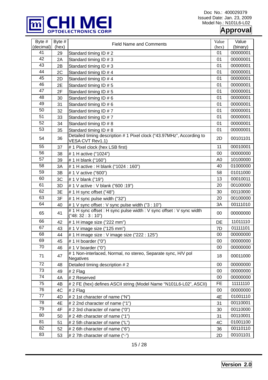

### **Approval**

| Byte #<br>(decimal) | Byte $#$<br>(hex) | <b>Field Name and Comments</b>                                                            | Value<br>(hex) | Value<br>(binary) |
|---------------------|-------------------|-------------------------------------------------------------------------------------------|----------------|-------------------|
| 41                  | 29                | Standard timing ID # 2                                                                    | 01             | 00000001          |
| 42                  | 2A                | Standard timing ID # 3                                                                    | 01             | 00000001          |
| 43                  | 2B                | Standard timing ID # 3                                                                    | 01             | 00000001          |
| 44                  | 2C                | Standard timing ID # 4                                                                    | 01             | 00000001          |
| 45                  | 2D                | Standard timing ID # 4                                                                    | 01             | 00000001          |
| 46                  | 2E                | Standard timing ID # 5                                                                    | 01             | 00000001          |
| 47                  | 2F                | Standard timing ID # 5                                                                    | 01             | 00000001          |
| 48                  | 30                | Standard timing ID # 6                                                                    | 01             | 00000001          |
| 49                  | 31                | Standard timing ID # 6                                                                    | 01             | 00000001          |
| 50                  | 32                | Standard timing ID #7                                                                     | 01             | 00000001          |
| 51                  | 33                | Standard timing ID #7                                                                     | 01             | 00000001          |
| 52                  | 34                | Standard timing ID # 8                                                                    | 01             | 00000001          |
| 53                  | 35                | Standard timing ID # 8                                                                    | 01             | 00000001          |
| 54                  | 36                | Detailed timing description # 1 Pixel clock ("43.97MHz", According to<br>VESA CVT Rev1.1) | 2D             | 00101101          |
| 55                  | 37                | # 1 Pixel clock (hex LSB first)                                                           | 11             | 00010001          |
| 56                  | 38                | # 1 H active ("1024")                                                                     | 00             | 00000000          |
| 57                  | 39                | # 1 H blank ("160")                                                                       | A <sub>0</sub> | 10100000          |
| 58                  | 3A                | # 1 H active : H blank ("1024 : 160")                                                     | 40             | 01000000          |
| 59                  | 3B                | # 1 V active ("600")                                                                      | 58             | 01011000          |
| 60                  | 3C                | # 1 V blank ("19")                                                                        | 13             | 00010011          |
| 61                  | 3D                | # 1 V active : V blank ("600 :19")                                                        | 20             | 00100000          |
| 62                  | 3E                | # 1 H sync offset ("48")                                                                  | 30             | 00110000          |
| 63                  | 3F                | # 1 H sync pulse width ("32")                                                             | 20             | 00100000          |
| 64                  | 40                | # 1 V sync offset : V sync pulse width ("3 : 10")                                         | 3A             | 00111010          |
| 65                  | 41                | #1 H sync offset: H sync pulse width: V sync offset: V sync width<br>("48:32:3:10")       | 00             | 00000000          |
| 66                  | 42                | # 1 H image size ("222 mm")                                                               | DE             | 11011110          |
| 67                  | 43                | # 1 V image size ("125 mm")                                                               | 7D             | 01111101          |
| 68                  | 44                | # 1 H image size : V image size ("222 : 125")                                             | 00             | 00000000          |
| 69                  | 45                | # 1 H boarder ("0")                                                                       | $00\,$         | 00000000          |
| $\overline{70}$     | 46                | # 1 V boarder ("0")                                                                       | 00             | 00000000          |
| 71                  | 47                | #1 Non-interlaced, Normal, no stereo, Separate sync, H/V pol<br><b>Negatives</b>          | 18             | 00011000          |
| 72                  | 48                | Detailed timing description #2                                                            | 00             | 00000000          |
| 73                  | 49                | $# 2$ Flag                                                                                | 00             | 00000000          |
| 74                  | 4A                | #2 Reserved                                                                               | 00             | 00000000          |
| 75                  | 4B                | # 2 FE (hex) defines ASCII string (Model Name "N101L6-L02", ASCII)                        | <b>FE</b>      | 11111110          |
| 76                  | 4C                | $# 2$ Flag                                                                                | 00             | 00000000          |
| 77                  | 4D                | # 2 1st character of name ("N")                                                           | 4E             | 01001110          |
| 78                  | 4E                | # 2 2nd character of name ("1")                                                           | 31             | 00110001          |
| 79                  | 4F                | $\#$ 2 3rd character of name ("0")                                                        | 30             | 00110000          |
| 80                  | 50                | $# 2$ 4th character of name ("1")                                                         | 31             | 00110001          |
| 81                  | 51                | # 2 5th character of name ("L")                                                           | 4C             | 01001100          |
| 82                  | 52                | $# 2 6$ th character of name ("6")                                                        | 36             | 00110110          |
| 83                  | 53                | # 2 7th character of name ("-")                                                           | 2D             | 00101101          |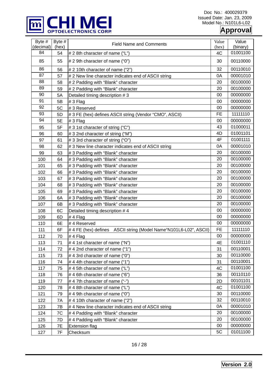

Doc No.: 400029379 Issued Date: Jan. 23, 2009 Model No.: N101L6-L02

### **Approval**

| Byte #<br>(decimal) | Byte #<br>(hex) | <b>Field Name and Comments</b>                                    | Value<br>(hex) | Value<br>(binary) |
|---------------------|-----------------|-------------------------------------------------------------------|----------------|-------------------|
| 84                  | 54              | # 2 8th character of name ("L")                                   | 4C             | 01001100          |
| 85                  | 55              | # 2 9th character of name ("0")                                   | 30             | 00110000          |
| 86                  | 56              | # 2 10th character of name ("2")                                  | 32             | 00110010          |
| 87                  | 57              | # 2 New line character indicates end of ASCII string              | 0A             | 00001010          |
| 88                  | 58              | # 2 Padding with "Blank" character                                | 20             | 00100000          |
| 89                  | 59              | # 2 Padding with "Blank" character                                | 20             | 00100000          |
| 90                  | 5A              | Detailed timing description #3                                    | 00             | 00000000          |
| 91                  | 5B              | #3 Flag                                                           | 00             | 00000000          |
| 92                  | 5C              | #3 Reserved                                                       | 00             | 00000000          |
| 93                  | 5D              | # 3 FE (hex) defines ASCII string (Vendor "CMO", ASCII)           | FE             | 11111110          |
| 94                  | 5E              | #3 Flag                                                           | 00             | 00000000          |
| 95                  | 5F              | # 3 1st character of string ("C")                                 | 43             | 01000011          |
| 96                  | 60              | # 3 2nd character of string ("M")                                 | 4D             | 01001101          |
| 97                  | 61              | # 3 3rd character of string ("O")                                 | 4F             | 01001111          |
| 98                  | 62              | # 3 New line character indicates end of ASCII string              | 0A             | 00001010          |
| 99                  | 63              | # 3 Padding with "Blank" character                                | 20             | 00100000          |
| 100                 | 64              | #3 Padding with "Blank" character                                 | 20             | 00100000          |
| 101                 | 65              | #3 Padding with "Blank" character                                 | 20             | 00100000          |
| 102                 | 66              | # 3 Padding with "Blank" character                                | 20             | 00100000          |
| 103                 | 67              | # 3 Padding with "Blank" character                                | 20             | 00100000          |
| 104                 | 68              | # 3 Padding with "Blank" character                                | 20             | 00100000          |
| 105                 | 69              | # 3 Padding with "Blank" character                                | 20             | 00100000          |
| 106                 | 6A              | #3 Padding with "Blank" character                                 | 20             | 00100000          |
| 107                 | 6B              | # 3 Padding with "Blank" character                                | 20             | 00100000          |
| 108                 | 6C              | Detailed timing description #4                                    | 00             | 00000000          |
| 109                 | 6D              | $# 4$ Flag                                                        | 00             | 00000000          |
| 110                 | 6E              | #4 Reserved                                                       | 00             | 00000000          |
| 111                 | 6F              | #4 FE (hex) defines ASCII string (Model Name "N101L6-L02", ASCII) | <b>FE</b>      | 11111110          |
| 112                 | 70              | # 4 $Flag$                                                        | 00             | 00000000          |
| 113                 | 71              | #4 1st character of name ("N")                                    | 4E             | 01001110          |
| 114                 | 72              | #4 2nd character of name ("1")                                    | 31             | 00110001          |
| 115                 | 73              | #4 3rd character of name ("0")                                    | 30             | 00110000          |
| 116                 | 74              | #44th character of name ("1")                                     | 31             | 00110001          |
| 117                 | 75              | #45th character of name ("L")                                     | 4C             | 01001100          |
| 118                 | 76              | #4 6th character of name ("6")                                    | 36             | 00110110          |
| 119                 | 77              | #47th character of name ("-")                                     | 2D             | 00101101          |
| 120                 | 78              | #4 8th character of name ("L")                                    | 4C             | 01001100          |
| 121                 | 79              | #4 9th character of name ("0")                                    | 30             | 00110000          |
| 122                 | 7A              | #4 10th character of name $("2")$                                 | 32             | 00110010          |
| 123                 | 7Β              | #4 New line character indicates end of ASCII string               | 0A             | 00001010          |
| 124                 | 7C              | # 4 Padding with "Blank" character                                | 20             | 00100000          |
| 125                 | 7D              | # 4 Padding with "Blank" character                                | 20             | 00100000          |
| 126                 | 7E              | <b>Extension flag</b>                                             | 00             | 00000000          |
| 127                 | 7F              | Checksum                                                          | 5C             | 01011100          |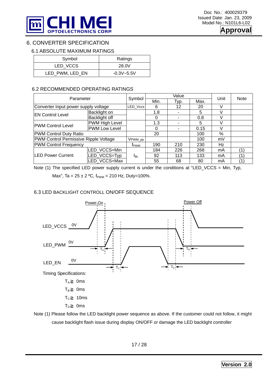

### 6. CONVERTER SPECIFICATION

### 6.1 ABSOLUTE MAXIMUM RATINGS

| Symbol          | Ratings        |
|-----------------|----------------|
| LED VCCS        | 28.0V          |
| LED_PWM, LED_EN | $-0.3V - 5.5V$ |

### 6.2 RECOMMENDED OPERATING RATINGS

| Parameter                             |                |             | Value | Unit | <b>Note</b> |    |  |
|---------------------------------------|----------------|-------------|-------|------|-------------|----|--|
|                                       | Symbol         | Min.        | Typ.  | Max. |             |    |  |
| Converter Input power supply voltage  | LED Vccs       | 6           | 12    | 20   |             |    |  |
| <b>EN Control Level</b>               | Backlight on   |             | 1.8   |      | 5           | V  |  |
|                                       | Backlight off  |             | 0     |      | 0.8         |    |  |
| <b>PWM Control Level</b>              | PWM High Level |             | 1.3   |      | 5           |    |  |
|                                       | PWM Low Level  |             | 0     |      | 0.15        |    |  |
| <b>PWM Control Duty Ratio</b>         |                |             | 20    |      | 100         | %  |  |
| PWM Control Permissive Ripple Voltage | VPWM_pp        |             |       | 100  | mV          |    |  |
| <b>PWM Control Frequency</b>          | <b>Т</b> рwм   | 190         | 210   | 230  | Hz          |    |  |
|                                       | LED VCCS=Min   |             | 184   | 226  | 268         | mA |  |
| <b>LED Power Current</b>              | LED VCCS=Typ   | <b>I</b> BL | 92    | 113  | 133         | mA |  |
|                                       | LED VCCS=Max   |             | 55    | 68   | 80          | mA |  |

Note (1) The specified LED power supply current is under the conditions at "LED\_VCCS = Min, Typ,

Max", Ta =  $25 \pm 2$  °C,  $f_{PWM}$  = 210 Hz, Duty=100%.

### 6.3 LED BACKLIGHT CONTROLL ON/OFF SEQUENCE



Note (1) Please follow the LED backlight power sequence as above. If the customer could not follow, it might cause backlight flash issue during display ON/OFF or damage the LED backlight controller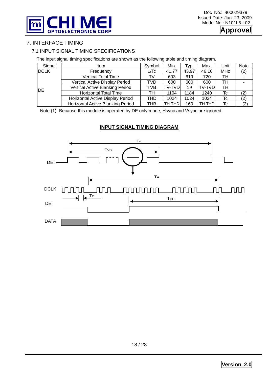

### 7. INTERFACE TIMING

### 7.1 INPUT SIGNAL TIMING SPECIFICATIONS

The input signal timing specifications are shown as the following table and timing diagram**.** 

| Signal      | ltem                                   | Symbol | Min.   | Typ.  | Max.          | Unit       | <b>Note</b> |
|-------------|----------------------------------------|--------|--------|-------|---------------|------------|-------------|
| <b>DCLK</b> | Frequency                              | 1/Tc   | 41.77  | 43.97 | 46.16         | <b>MHz</b> | (2)         |
|             | <b>Vertical Total Time</b>             | TV     | 603    | 619   | 720           | TН         |             |
|             | Vertical Active Display Period         | TVD    | 600    | 600   | 600           | TН         |             |
| <b>IDE</b>  | <b>Vertical Active Blanking Period</b> | TVB    | TV-TVD | 19    | <b>TV-TVD</b> | TН         |             |
|             | <b>Horizontal Total Time</b>           | TН     | 1104   | 1184  | 1240          | Tc         | (2)         |
|             | Horizontal Active Display Period       | THD    | 1024   | 1024  | 1024          | Tc         | (2)         |
|             | Horizontal Active Blanking Period      | тнв    | TH-THD | 160   | TH-THD        | Tc         | (2)         |

Note (1) Because this module is operated by DE only mode, Hsync and Vsync are ignored.

### **INPUT SIGNAL TIMING DIAGRAM**

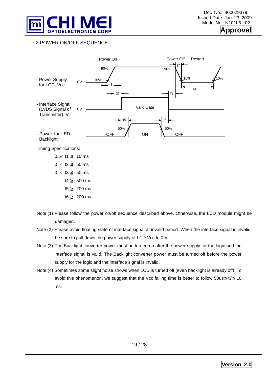

**pproval** 

### 7.2 POWER ON/OFF SEQUENCE



- t5 ≧ 200 ms
- t6 ≧ 200 ms
- 
- Note (1) Please follow the power on/off sequence described above. Otherwise, the LCD module might be damaged.
- Note (2) Please avoid floating state of interface signal at invalid period. When the interface signal is invalid, be sure to pull down the power supply of LCD Vcc to 0 V.
- Note (3) The Backlight converter power must be turned on after the power supply for the logic and the interface signal is valid. The Backlight converter power must be turned off before the power supply for the logic and the interface signal is invalid.
- Note (4) Sometimes some slight noise shows when LCD is turned off (even backlight is already off). To avoid this phenomenon, we suggest that the Vcc falling time is better to follow 50us t7 10 ms.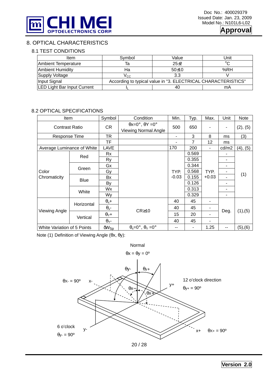

### 8. OPTICAL CHARACTERISTICS

### 8.1 TEST CONDITIONS

| <b>Item</b>                        | Svmbol                                                        | Value    | Unit |  |  |  |
|------------------------------------|---------------------------------------------------------------|----------|------|--|--|--|
| Ambient Temperature                | Та                                                            | $25 + 2$ | ∘∼   |  |  |  |
| <b>Ambient Humidity</b>            | На                                                            | $50+10$  | %RH  |  |  |  |
| Supply Voltage                     | Vcc.                                                          | 3.3      |      |  |  |  |
| Input Signal                       | According to typical value in "3. ELECTRICAL CHARACTERISTICS" |          |      |  |  |  |
| <b>LED Light Bar Input Current</b> |                                                               | 40       | mA   |  |  |  |

### 8.2 OPTICAL SPECIFICATIONS

| <b>Item</b>                 |             | Symbol                  | Condition                                                    | Min.    | Typ.           | Max.    | Unit                         | Note     |
|-----------------------------|-------------|-------------------------|--------------------------------------------------------------|---------|----------------|---------|------------------------------|----------|
| <b>Contrast Ratio</b>       |             | CR                      | $\theta$ x=0°, $\theta$ Y =0°<br><b>Viewing Normal Angle</b> | 500     | 650            |         | $\qquad \qquad \blacksquare$ | (2), (5) |
| Response Time               |             | <b>TR</b>               |                                                              | ٠       | 3              | 8       | ms                           | (3)      |
|                             |             | <b>TF</b>               |                                                              |         | $\overline{7}$ | 12      | ms                           |          |
| Average Luminance of White  |             | LAVE                    |                                                              | 170     | 200            |         | cd/m2                        | (4), (5) |
|                             |             | Rx                      |                                                              |         | 0.569          |         |                              |          |
| Color                       | Red         | Ry                      |                                                              |         | 0.355          |         | ۰                            |          |
|                             | Green       | Gx                      |                                                              |         | 0.344          |         | ٠                            |          |
|                             |             | Gy                      |                                                              | TYP.    | 0.568          | TYP.    | ٠                            |          |
| Chromaticity                | <b>Blue</b> | Bx                      |                                                              | $-0.03$ | 0.155          | $+0.03$ |                              | (1)      |
|                             |             | By                      |                                                              |         | 0.126          |         |                              |          |
|                             | White       | Wx                      |                                                              |         | 0.313          |         |                              |          |
|                             |             | Wy                      |                                                              |         | 0.329          |         |                              |          |
|                             |             | $\theta_x +$            |                                                              | 40      | 45             |         |                              |          |
| Viewing Angle               | Horizontal  | $\theta_{x}$ -          | $CR \ge 10$                                                  | 40      | 45             |         |                              | (1), (5) |
|                             | Vertical    | $\theta$ <sub>Y</sub> + |                                                              | 15      | 20             |         | Deg.                         |          |
|                             |             | $\theta$ <sub>Y</sub> - |                                                              | 40      | 45             |         |                              |          |
| White Variation of 5 Points |             | $\delta W_{5p}$         | $\theta_x = 0^\circ$ , $\theta_y = 0^\circ$                  | --      | -              | 1.25    | $\sim$ $\sim$                | (5), (6) |

Note (1) Definition of Viewing Angle (θx, θy):



**Version 2.0**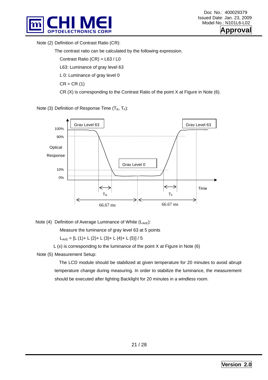



Note (2) Definition of Contrast Ratio (CR):

The contrast ratio can be calculated by the following expression.

Contrast Ratio (CR) = L63 / L0

L63: Luminance of gray level 63

L 0: Luminance of gray level 0

 $CR = CR(1)$ 

CR (X) is corresponding to the Contrast Ratio of the point X at Figure in Note (6).

Note (3) Definition of Response Time  $(T_R, T_F)$ :



Note (4) Definition of Average Luminance of White  $(L_{AVE})$ :

Measure the luminance of gray level 63 at 5 points

 $L_{AVE} = [L (1) + L (2) + L (3) + L (4) + L (5)] / 5$ 

 $L(x)$  is corresponding to the luminance of the point X at Figure in Note (6)

Note (5) Measurement Setup:

 The LCD module should be stabilized at given temperature for 20 minutes to avoid abrupt temperature change during measuring. In order to stabilize the luminance, the measurement should be executed after lighting Backlight for 20 minutes in a windless room.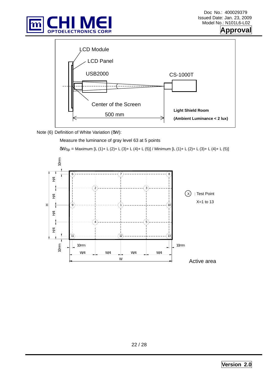





Note (6) Definition of White Variation (δW):

Measure the luminance of gray level 63 at 5 points

```
δW5p = Maximum [L (1)+ L (2)+ L (3)+ L (4)+ L (5)] / Minimum [L (1)+ L (2)+ L (3)+ L (4)+ L (5)]
```
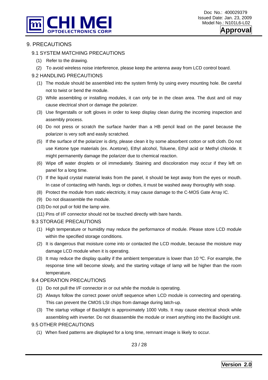



### 9. PRECAUTIONS

### 9.1 SYSTEM MATCHING PRECAUTIONS

- (1) Refer to the drawing.
- (2) To avoid wireless noise interference, please keep the antenna away from LCD control board.

### 9.2 HANDLING PRECAUTIONS

- (1) The module should be assembled into the system firmly by using every mounting hole. Be careful not to twist or bend the module.
- (2) While assembling or installing modules, it can only be in the clean area. The dust and oil may cause electrical short or damage the polarizer.
- (3) Use fingerstalls or soft gloves in order to keep display clean during the incoming inspection and assembly process.
- (4) Do not press or scratch the surface harder than a HB pencil lead on the panel because the polarizer is very soft and easily scratched.
- (5) If the surface of the polarizer is dirty, please clean it by some absorbent cotton or soft cloth. Do not use Ketone type materials (ex. Acetone), Ethyl alcohol, Toluene, Ethyl acid or Methyl chloride. It might permanently damage the polarizer due to chemical reaction.
- (6) Wipe off water droplets or oil immediately. Staining and discoloration may occur if they left on panel for a long time.
- (7) If the liquid crystal material leaks from the panel, it should be kept away from the eyes or mouth. In case of contacting with hands, legs or clothes, it must be washed away thoroughly with soap.
- (8) Protect the module from static electricity, it may cause damage to the C-MOS Gate Array IC.
- (9) Do not disassemble the module.
- (10) Do not pull or fold the lamp wire.
- (11) Pins of I/F connector should not be touched directly with bare hands.

### 9.3 STORAGE PRECAUTIONS

- (1) High temperature or humidity may reduce the performance of module. Please store LCD module within the specified storage conditions.
- (2) It is dangerous that moisture come into or contacted the LCD module, because the moisture may damage LCD module when it is operating.
- (3) It may reduce the display quality if the ambient temperature is lower than 10  $\degree$ C. For example, the response time will become slowly, and the starting voltage of lamp will be higher than the room temperature.

### 9.4 OPERATION PRECAUTIONS

- (1) Do not pull the I/F connector in or out while the module is operating.
- (2) Always follow the correct power on/off sequence when LCD module is connecting and operating. This can prevent the CMOS LSI chips from damage during latch-up.
- (3) The startup voltage of Backlight is approximately 1000 Volts. It may cause electrical shock while assembling with inverter. Do not disassemble the module or insert anything into the Backlight unit.

### 9.5 OTHER PRECAUTIONS

(1) When fixed patterns are displayed for a long time, remnant image is likely to occur.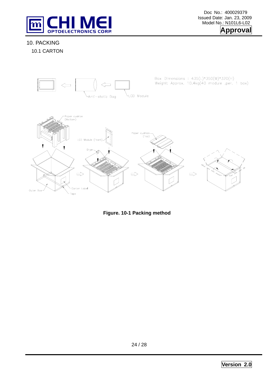

Doc No.: 400029379 Issued Date: Jan. 23, 2009 Model No.: N101L6-L02



### 10. PACKING

10.1 CARTON



**Figure. 10-1 Packing method**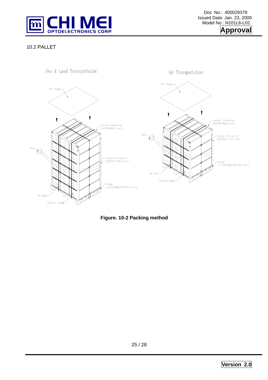

### 10.2 PALLET



**Figure. 10-2 Packing method**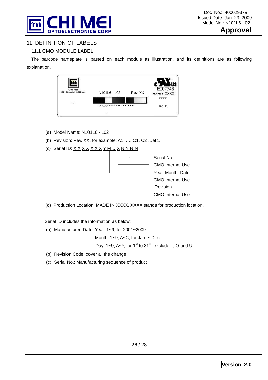



### 11. DEFINITION OF LABELS

### 11.1 CMO MODULE LABEL

The barcode nameplate is pasted on each module as illustration, and its definitions are as following explanation.



- (a) Model Name: N101L6 L02
- (b) Revision: Rev. XX, for example: A1, …, C1, C2 …etc.
- (c) Serial ID:  $X$   $X$   $X$   $X$   $X$   $X$   $Y$   $M$   $D$   $X$   $N$   $N$   $N$   $N$



(d) Production Location: MADE IN XXXX. XXXX stands for production location.

Serial ID includes the information as below:

(a) Manufactured Date: Year: 1~9, for 2001~2009

Month:  $1-9$ ,  $A-C$ , for Jan.  $\sim$  Dec.

Day: 1~9, A~Y, for 1<sup>st</sup> to 31<sup>st</sup>, exclude I, O and U

- (b) Revision Code: cover all the change
- (c) Serial No.: Manufacturing sequence of product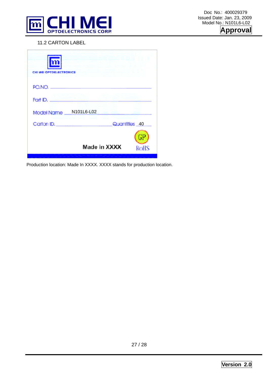

### 11.2 CARTON LABEL

| CHI MEI OPTOELECTRONICS |                        |               |
|-------------------------|------------------------|---------------|
| PO.NO.                  |                        |               |
| Part ID.<br>Model Name  | N101L6-L02             |               |
| Carton ID.              | <b>MAN DESCRIPTION</b> | Quantities 40 |
|                         |                        | $\bigoplus$   |
|                         | Made in XXXX           | <b>ROHS</b>   |

Production location: Made In XXXX. XXXX stands for production location.